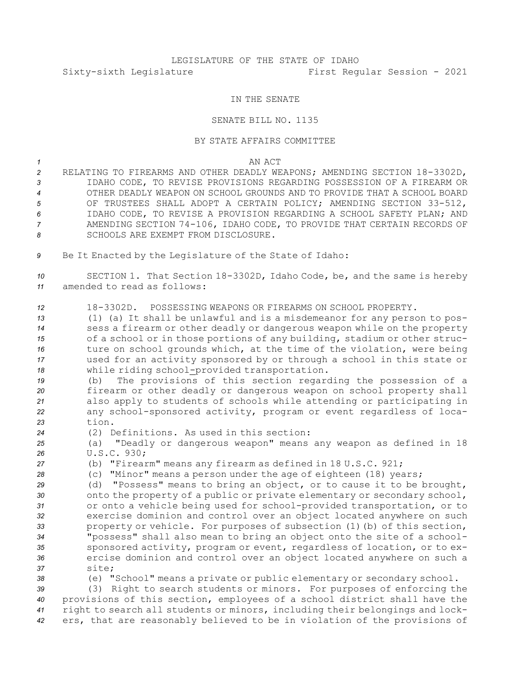## LEGISLATURE OF THE STATE OF IDAHO Sixty-sixth Legislature First Regular Session - 2021

## IN THE SENATE

## SENATE BILL NO. 1135

## BY STATE AFFAIRS COMMITTEE

*1* AN ACT

- *<sup>2</sup>* RELATING TO FIREARMS AND OTHER DEADLY WEAPONS; AMENDING SECTION 18-3302D, *3* IDAHO CODE, TO REVISE PROVISIONS REGARDING POSSESSION OF A FIREARM OR *4* OTHER DEADLY WEAPON ON SCHOOL GROUNDS AND TO PROVIDE THAT A SCHOOL BOARD *<sup>5</sup>* OF TRUSTEES SHALL ADOPT A CERTAIN POLICY; AMENDING SECTION 33-512, *6* IDAHO CODE, TO REVISE A PROVISION REGARDING A SCHOOL SAFETY PLAN; AND *<sup>7</sup>* AMENDING SECTION 74-106, IDAHO CODE, TO PROVIDE THAT CERTAIN RECORDS OF *8* SCHOOLS ARE EXEMPT FROM DISCLOSURE.
- *<sup>9</sup>* Be It Enacted by the Legislature of the State of Idaho:

*<sup>10</sup>* SECTION 1. That Section 18-3302D, Idaho Code, be, and the same is hereby *11* amended to read as follows:

*12* 18-3302D. POSSESSING WEAPONS OR FIREARMS ON SCHOOL PROPERTY.

 (1) (a) It shall be unlawful and is <sup>a</sup> misdemeanor for any person to pos- sess <sup>a</sup> firearm or other deadly or dangerous weapon while on the property of <sup>a</sup> school or in those portions of any building, stadium or other struc-16 ture on school grounds which, at the time of the violation, were being used for an activity sponsored by or through <sup>a</sup> school in this state or while riding school-provided transportation.

 (b) The provisions of this section regarding the possession of <sup>a</sup> firearm or other deadly or dangerous weapon on school property shall also apply to students of schools while attending or participating in any school-sponsored activity, program or event regardless of loca-*23* tion.

*<sup>24</sup>* (2) Definitions. As used in this section:

*<sup>25</sup>* (a) "Deadly or dangerous weapon" means any weapon as defined in 18 *26* U.S.C. 930;

*<sup>27</sup>* (b) "Firearm" means any firearm as defined in 18 U.S.C. 921;

*<sup>28</sup>* (c) "Minor" means <sup>a</sup> person under the age of eighteen (18) years;

 (d) "Possess" means to bring an object, or to cause it to be brought, onto the property of <sup>a</sup> public or private elementary or secondary school, or onto <sup>a</sup> vehicle being used for school-provided transportation, or to exercise dominion and control over an object located anywhere on such property or vehicle. For purposes of subsection (1)(b) of this section, "possess" shall also mean to bring an object onto the site of <sup>a</sup> school- sponsored activity, program or event, regardless of location, or to ex- ercise dominion and control over an object located anywhere on such <sup>a</sup> *37* site;

*<sup>38</sup>* (e) "School" means <sup>a</sup> private or public elementary or secondary school.

 (3) Right to search students or minors. For purposes of enforcing the provisions of this section, employees of <sup>a</sup> school district shall have the right to search all students or minors, including their belongings and lock-ers, that are reasonably believed to be in violation of the provisions of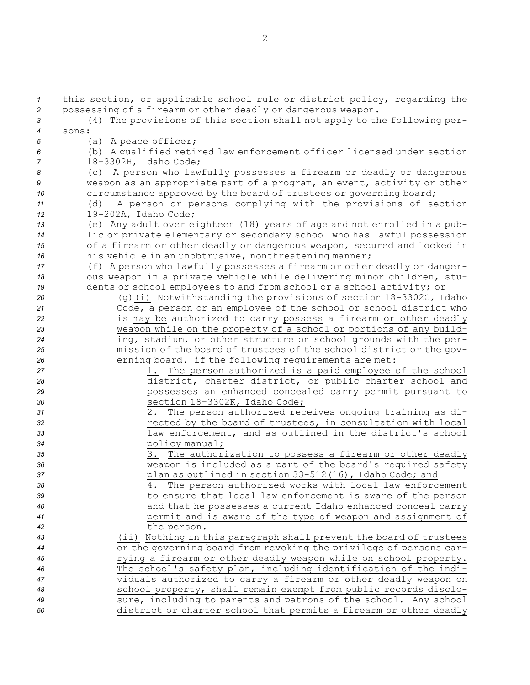this section, or applicable school rule or district policy, regarding the possessing of <sup>a</sup> firearm or other deadly or dangerous weapon. (4) The provisions of this section shall not apply to the following per-*4* sons: (a) <sup>A</sup> peace officer; (b) <sup>A</sup> qualified retired law enforcement officer licensed under section 18-3302H, Idaho Code; (c) <sup>A</sup> person who lawfully possesses <sup>a</sup> firearm or deadly or dangerous weapon as an appropriate part of <sup>a</sup> program, an event, activity or other 10 circumstance approved by the board of trustees or governing board; (d) <sup>A</sup> person or persons complying with the provisions of section 19-202A, Idaho Code; (e) Any adult over eighteen (18) years of age and not enrolled in <sup>a</sup> pub- lic or private elementary or secondary school who has lawful possession of <sup>a</sup> firearm or other deadly or dangerous weapon, secured and locked in his vehicle in an unobtrusive, nonthreatening manner; (f) <sup>A</sup> person who lawfully possesses <sup>a</sup> firearm or other deadly or danger- ous weapon in <sup>a</sup> private vehicle while delivering minor children, stu- dents or school employees to and from school or <sup>a</sup> school activity; or (g)(i) Notwithstanding the provisions of section 18-3302C, Idaho Code, <sup>a</sup> person or an employee of the school or school district who **is may** be authorized to earry possess a firearm or other deadly weapon while on the property of <sup>a</sup> school or portions of any build- ing, stadium, or other structure on school grounds with the per- mission of the board of trustees of the school district or the gov-**erning board**— if the following requirements are met: 1. The person authorized is <sup>a</sup> paid employee of the school district, charter district, or public charter school and possesses an enhanced concealed carry permit pursuant to section 18-3302K, Idaho Code; 2. The person authorized receives ongoing training as di- rected by the board of trustees, in consultation with local law enforcement, and as outlined in the district's school policy manual; 3. The authorization to possess <sup>a</sup> firearm or other deadly weapon is included as <sup>a</sup> part of the board's required safety plan as outlined in section 33-512(16), Idaho Code; and 4. The person authorized works with local law enforcement to ensure that local law enforcement is aware of the person and that he possesses <sup>a</sup> current Idaho enhanced conceal carry permit and is aware of the type of weapon and assignment of the person. (ii) Nothing in this paragraph shall prevent the board of trustees or the governing board from revoking the privilege of persons car- rying <sup>a</sup> firearm or other deadly weapon while on school property. The school's safety plan, including identification of the indi- viduals authorized to carry <sup>a</sup> firearm or other deadly weapon on school property, shall remain exempt from public records disclo- sure, including to parents and patrons of the school. Any school district or charter school that permits <sup>a</sup> firearm or other deadly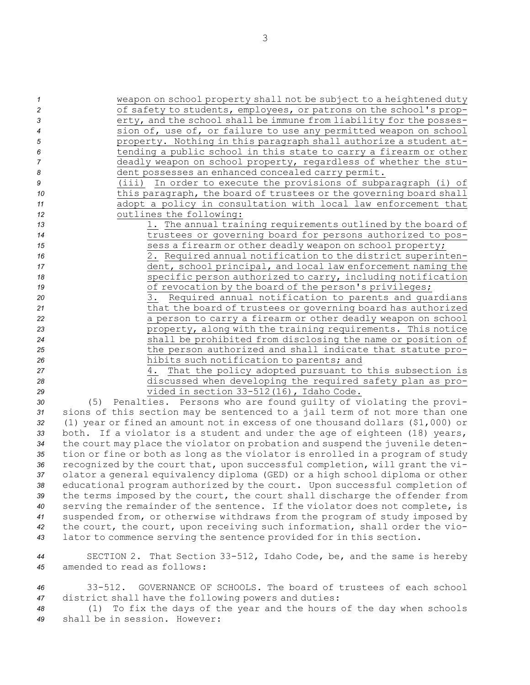| $\mathcal{I}$    |     | weapon on school property shall not be subject to a heightened duty |
|------------------|-----|---------------------------------------------------------------------|
| $\overline{c}$   |     | of safety to students, employees, or patrons on the school's prop-  |
| 3                |     | erty, and the school shall be immune from liability for the posses- |
| $\boldsymbol{4}$ |     | sion of, use of, or failure to use any permitted weapon on school   |
| 5                |     | property. Nothing in this paragraph shall authorize a student at-   |
| 6                |     | tending a public school in this state to carry a firearm or other   |
| 7                |     | deadly weapon on school property, regardless of whether the stu-    |
| 8                |     | dent possesses an enhanced concealed carry permit.                  |
| 9                |     | In order to execute the provisions of subparagraph (i) of<br>(iii)  |
| 10               |     | this paragraph, the board of trustees or the governing board shall  |
| 11               |     | adopt a policy in consultation with local law enforcement that      |
| 12               |     | outlines the following:                                             |
| 13               |     | 1. The annual training requirements outlined by the board of        |
| 14               |     | trustees or governing board for persons authorized to pos-          |
| 15               |     | sess a firearm or other deadly weapon on school property;           |
| 16               |     | 2. Required annual notification to the district superinten-         |
| 17               |     | dent, school principal, and local law enforcement naming the        |
| 18               |     | specific person authorized to carry, including notification         |
| 19               |     | of revocation by the board of the person's privileges;              |
| 20               |     | 3. Required annual notification to parents and quardians            |
| 21               |     | that the board of trustees or governing board has authorized        |
| 22               |     | a person to carry a firearm or other deadly weapon on school        |
| 23               |     | property, along with the training requirements. This notice         |
| 24               |     | shall be prohibited from disclosing the name or position of         |
| 25               |     | the person authorized and shall indicate that statute pro-          |
| 26               |     | hibits such notification to parents; and                            |
| 27               |     | That the policy adopted pursuant to this subsection is<br>4.        |
| 28               |     | discussed when developing the required safety plan as pro-          |
| 29               |     | vided in section 33-512(16), Idaho Code.                            |
| 30               | (5) | Penalties. Persons who are found quilty of violating the provi-     |

 (5) Penalties. Persons who are found guilty of violating the provi- sions of this section may be sentenced to <sup>a</sup> jail term of not more than one (1) year or fined an amount not in excess of one thousand dollars (\$1,000) or both. If <sup>a</sup> violator is <sup>a</sup> student and under the age of eighteen (18) years, the court may place the violator on probation and suspend the juvenile deten- tion or fine or both as long as the violator is enrolled in <sup>a</sup> program of study recognized by the court that, upon successful completion, will grant the vi- olator <sup>a</sup> general equivalency diploma (GED) or <sup>a</sup> high school diploma or other educational program authorized by the court. Upon successful completion of the terms imposed by the court, the court shall discharge the offender from serving the remainder of the sentence. If the violator does not complete, is suspended from, or otherwise withdraws from the program of study imposed by the court, the court, upon receiving such information, shall order the vio-lator to commence serving the sentence provided for in this section.

*<sup>44</sup>* SECTION 2. That Section 33-512, Idaho Code, be, and the same is hereby *45* amended to read as follows:

*46* 33-512. GOVERNANCE OF SCHOOLS. The board of trustees of each school *<sup>47</sup>* district shall have the following powers and duties:

*<sup>48</sup>* (1) To fix the days of the year and the hours of the day when schools *49* shall be in session. However: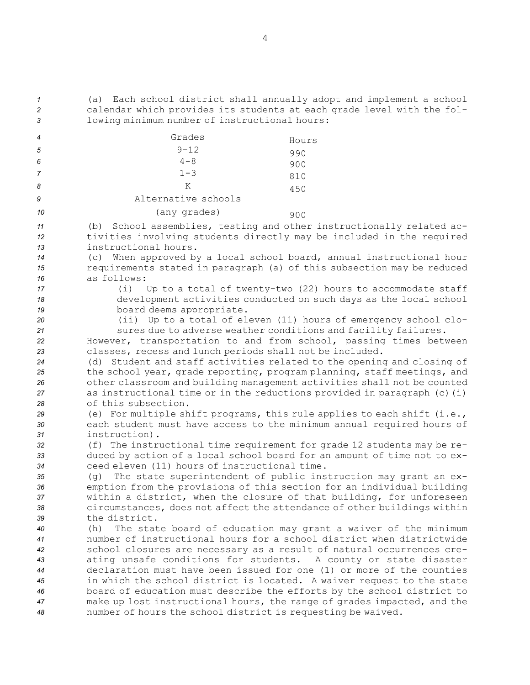*<sup>1</sup>* (a) Each school district shall annually adopt and implement <sup>a</sup> school *<sup>2</sup>* calendar which provides its students at each grade level with the fol-*<sup>3</sup>* lowing minimum number of instructional hours:

| 4  | Grades              | Hours |
|----|---------------------|-------|
| 5  | $9 - 12$            | 990   |
| 6  | $4 - 8$             | 900   |
|    | $1 - 3$             | 810   |
| 8  | K                   | 450   |
| 9  | Alternative schools |       |
| 10 | (any grades)        | 900   |

*<sup>11</sup>* (b) School assemblies, testing and other instructionally related ac-*<sup>12</sup>* tivities involving students directly may be included in the required *13* instructional hours.

*<sup>14</sup>* (c) When approved by <sup>a</sup> local school board, annual instructional hour *<sup>15</sup>* requirements stated in paragraph (a) of this subsection may be reduced *16* as follows:

*<sup>17</sup>* (i) Up to <sup>a</sup> total of twenty-two (22) hours to accommodate staff *<sup>18</sup>* development activities conducted on such days as the local school *<sup>19</sup>* board deems appropriate.

*<sup>20</sup>* (ii) Up to <sup>a</sup> total of eleven (11) hours of emergency school clo-*<sup>21</sup>* sures due to adverse weather conditions and facility failures.

*<sup>22</sup>* However, transportation to and from school, passing times between *<sup>23</sup>* classes, recess and lunch periods shall not be included.

 (d) Student and staff activities related to the opening and closing of the school year, grade reporting, program planning, staff meetings, and other classroom and building management activities shall not be counted as instructional time or in the reductions provided in paragraph (c)(i) of this subsection.

*<sup>29</sup>* (e) For multiple shift programs, this rule applies to each shift (i.e., *<sup>30</sup>* each student must have access to the minimum annual required hours of *31* instruction).

*<sup>32</sup>* (f) The instructional time requirement for grade 12 students may be re-*<sup>33</sup>* duced by action of <sup>a</sup> local school board for an amount of time not to ex-*34* ceed eleven (11) hours of instructional time.

 (g) The state superintendent of public instruction may grant an ex- emption from the provisions of this section for an individual building within <sup>a</sup> district, when the closure of that building, for unforeseen circumstances, does not affect the attendance of other buildings within the district.

 (h) The state board of education may grant <sup>a</sup> waiver of the minimum number of instructional hours for <sup>a</sup> school district when districtwide school closures are necessary as <sup>a</sup> result of natural occurrences cre- ating unsafe conditions for students. <sup>A</sup> county or state disaster declaration must have been issued for one (1) or more of the counties in which the school district is located. <sup>A</sup> waiver request to the state board of education must describe the efforts by the school district to make up lost instructional hours, the range of grades impacted, and the number of hours the school district is requesting be waived.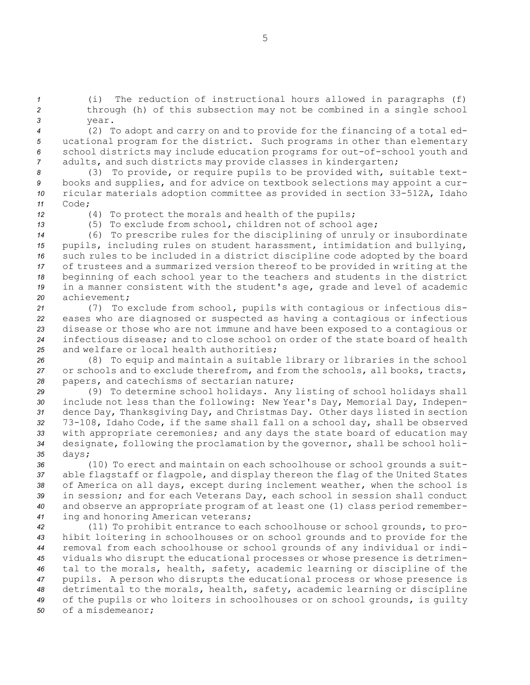*<sup>1</sup>* (i) The reduction of instructional hours allowed in paragraphs (f) *<sup>2</sup>* through (h) of this subsection may not be combined in <sup>a</sup> single school *3* year.

 (2) To adopt and carry on and to provide for the financing of <sup>a</sup> total ed- ucational program for the district. Such programs in other than elementary school districts may include education programs for out-of-school youth and adults, and such districts may provide classes in kindergarten;

 (3) To provide, or require pupils to be provided with, suitable text- books and supplies, and for advice on textbook selections may appoint <sup>a</sup> cur- ricular materials adoption committee as provided in section 33-512A, Idaho *11* Code;

*<sup>12</sup>* (4) To protect the morals and health of the pupils;

*<sup>13</sup>* (5) To exclude from school, children not of school age;

 (6) To prescribe rules for the disciplining of unruly or insubordinate pupils, including rules on student harassment, intimidation and bullying, such rules to be included in <sup>a</sup> district discipline code adopted by the board of trustees and <sup>a</sup> summarized version thereof to be provided in writing at the beginning of each school year to the teachers and students in the district in <sup>a</sup> manner consistent with the student's age, grade and level of academic achievement;

 (7) To exclude from school, pupils with contagious or infectious dis- eases who are diagnosed or suspected as having <sup>a</sup> contagious or infectious disease or those who are not immune and have been exposed to <sup>a</sup> contagious or infectious disease; and to close school on order of the state board of health and welfare or local health authorities;

*<sup>26</sup>* (8) To equip and maintain <sup>a</sup> suitable library or libraries in the school *<sup>27</sup>* or schools and to exclude therefrom, and from the schools, all books, tracts, *<sup>28</sup>* papers, and catechisms of sectarian nature;

 (9) To determine school holidays. Any listing of school holidays shall include not less than the following: New Year's Day, Memorial Day, Indepen- dence Day, Thanksgiving Day, and Christmas Day. Other days listed in section 73-108, Idaho Code, if the same shall fall on <sup>a</sup> school day, shall be observed with appropriate ceremonies; and any days the state board of education may designate, following the proclamation by the governor, shall be school holi-*<sup>35</sup>* days;

 (10) To erect and maintain on each schoolhouse or school grounds <sup>a</sup> suit- able flagstaff or flagpole, and display thereon the flag of the United States of America on all days, except during inclement weather, when the school is in session; and for each Veterans Day, each school in session shall conduct and observe an appropriate program of at least one (1) class period remember-ing and honoring American veterans;

 (11) To prohibit entrance to each schoolhouse or school grounds, to pro- hibit loitering in schoolhouses or on school grounds and to provide for the removal from each schoolhouse or school grounds of any individual or indi- viduals who disrupt the educational processes or whose presence is detrimen- tal to the morals, health, safety, academic learning or discipline of the pupils. <sup>A</sup> person who disrupts the educational process or whose presence is detrimental to the morals, health, safety, academic learning or discipline of the pupils or who loiters in schoolhouses or on school grounds, is guilty of <sup>a</sup> misdemeanor;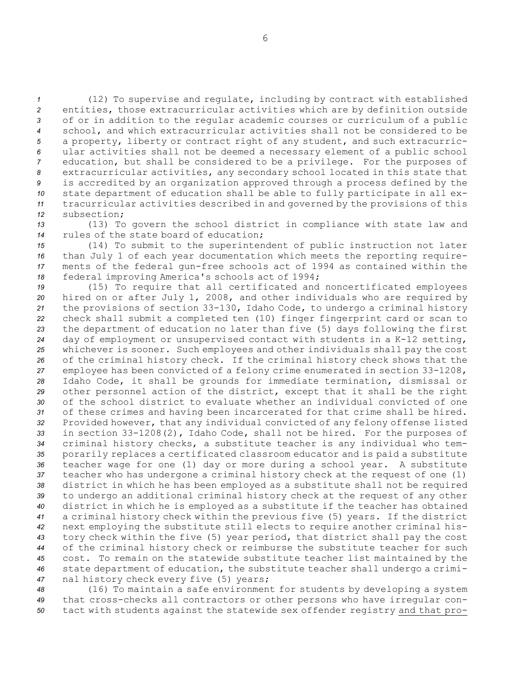(12) To supervise and regulate, including by contract with established entities, those extracurricular activities which are by definition outside of or in addition to the regular academic courses or curriculum of <sup>a</sup> public school, and which extracurricular activities shall not be considered to be <sup>a</sup> property, liberty or contract right of any student, and such extracurric- ular activities shall not be deemed <sup>a</sup> necessary element of <sup>a</sup> public school education, but shall be considered to be <sup>a</sup> privilege. For the purposes of extracurricular activities, any secondary school located in this state that is accredited by an organization approved through <sup>a</sup> process defined by the state department of education shall be able to fully participate in all ex- tracurricular activities described in and governed by the provisions of this subsection;

*<sup>13</sup>* (13) To govern the school district in compliance with state law and *14* rules of the state board of education;

 (14) To submit to the superintendent of public instruction not later than July 1 of each year documentation which meets the reporting require- ments of the federal gun-free schools act of 1994 as contained within the federal improving America's schools act of 1994;

 (15) To require that all certificated and noncertificated employees hired on or after July 1, 2008, and other individuals who are required by the provisions of section 33-130, Idaho Code, to undergo <sup>a</sup> criminal history check shall submit <sup>a</sup> completed ten (10) finger fingerprint card or scan to the department of education no later than five (5) days following the first day of employment or unsupervised contact with students in <sup>a</sup> K-12 setting, whichever is sooner. Such employees and other individuals shall pay the cost of the criminal history check. If the criminal history check shows that the employee has been convicted of <sup>a</sup> felony crime enumerated in section 33-1208, Idaho Code, it shall be grounds for immediate termination, dismissal or other personnel action of the district, except that it shall be the right of the school district to evaluate whether an individual convicted of one of these crimes and having been incarcerated for that crime shall be hired. Provided however, that any individual convicted of any felony offense listed in section 33-1208(2), Idaho Code, shall not be hired. For the purposes of criminal history checks, <sup>a</sup> substitute teacher is any individual who tem- porarily replaces <sup>a</sup> certificated classroom educator and is paid <sup>a</sup> substitute teacher wage for one (1) day or more during <sup>a</sup> school year. <sup>A</sup> substitute teacher who has undergone <sup>a</sup> criminal history check at the request of one (1) district in which he has been employed as <sup>a</sup> substitute shall not be required to undergo an additional criminal history check at the request of any other district in which he is employed as <sup>a</sup> substitute if the teacher has obtained <sup>a</sup> criminal history check within the previous five (5) years. If the district next employing the substitute still elects to require another criminal his- tory check within the five (5) year period, that district shall pay the cost of the criminal history check or reimburse the substitute teacher for such cost. To remain on the statewide substitute teacher list maintained by the state department of education, the substitute teacher shall undergo <sup>a</sup> crimi-nal history check every five (5) years;

*<sup>48</sup>* (16) To maintain <sup>a</sup> safe environment for students by developing <sup>a</sup> system *<sup>49</sup>* that cross-checks all contractors or other persons who have irregular con-*<sup>50</sup>* tact with students against the statewide sex offender registry and that pro-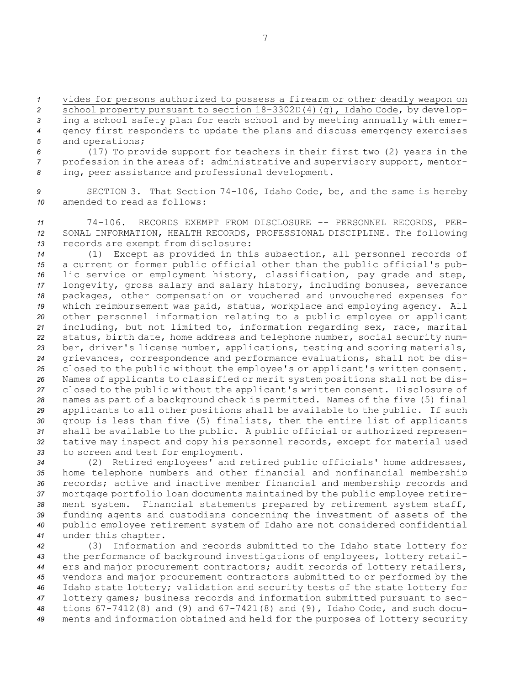vides for persons authorized to possess <sup>a</sup> firearm or other deadly weapon on school property pursuant to section 18-3302D(4)(g), Idaho Code, by develop- ing <sup>a</sup> school safety plan for each school and by meeting annually with emer- gency first responders to update the plans and discuss emergency exercises and operations;

*<sup>6</sup>* (17) To provide support for teachers in their first two (2) years in the *<sup>7</sup>* profession in the areas of: administrative and supervisory support, mentor-*<sup>8</sup>* ing, peer assistance and professional development.

*<sup>9</sup>* SECTION 3. That Section 74-106, Idaho Code, be, and the same is hereby *10* amended to read as follows:

*<sup>11</sup>* 74-106. RECORDS EXEMPT FROM DISCLOSURE -- PERSONNEL RECORDS, PER-*<sup>12</sup>* SONAL INFORMATION, HEALTH RECORDS, PROFESSIONAL DISCIPLINE. The following *<sup>13</sup>* records are exempt from disclosure:

 (1) Except as provided in this subsection, all personnel records of <sup>a</sup> current or former public official other than the public official's pub- lic service or employment history, classification, pay grade and step, longevity, gross salary and salary history, including bonuses, severance packages, other compensation or vouchered and unvouchered expenses for which reimbursement was paid, status, workplace and employing agency. All other personnel information relating to <sup>a</sup> public employee or applicant including, but not limited to, information regarding sex, race, marital status, birth date, home address and telephone number, social security num- ber, driver's license number, applications, testing and scoring materials, grievances, correspondence and performance evaluations, shall not be dis- closed to the public without the employee's or applicant's written consent. Names of applicants to classified or merit system positions shall not be dis- closed to the public without the applicant's written consent. Disclosure of names as part of <sup>a</sup> background check is permitted. Names of the five (5) final applicants to all other positions shall be available to the public. If such group is less than five (5) finalists, then the entire list of applicants shall be available to the public. <sup>A</sup> public official or authorized represen- tative may inspect and copy his personnel records, except for material used to screen and test for employment.

 (2) Retired employees' and retired public officials' home addresses, home telephone numbers and other financial and nonfinancial membership records; active and inactive member financial and membership records and mortgage portfolio loan documents maintained by the public employee retire- ment system. Financial statements prepared by retirement system staff, funding agents and custodians concerning the investment of assets of the public employee retirement system of Idaho are not considered confidential under this chapter.

 (3) Information and records submitted to the Idaho state lottery for the performance of background investigations of employees, lottery retail- ers and major procurement contractors; audit records of lottery retailers, vendors and major procurement contractors submitted to or performed by the Idaho state lottery; validation and security tests of the state lottery for lottery games; business records and information submitted pursuant to sec- tions 67-7412(8) and (9) and 67-7421(8) and (9), Idaho Code, and such docu-ments and information obtained and held for the purposes of lottery security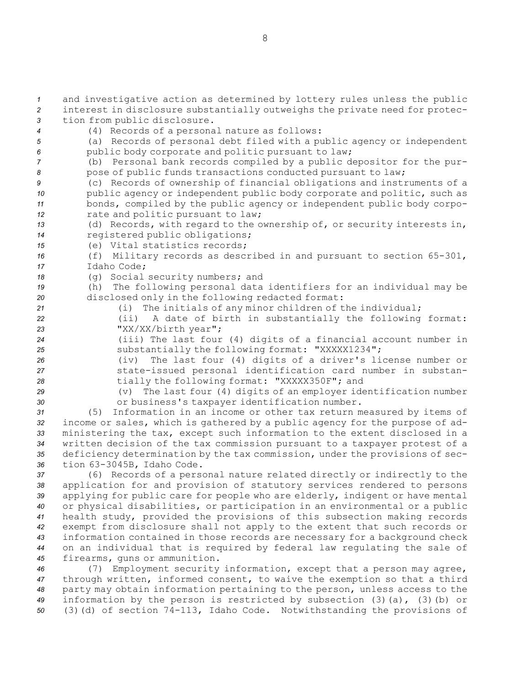and investigative action as determined by lottery rules unless the public interest in disclosure substantially outweighs the private need for protec- tion from public disclosure. (4) Records of <sup>a</sup> personal nature as follows: (a) Records of personal debt filed with <sup>a</sup> public agency or independent public body corporate and politic pursuant to law; (b) Personal bank records compiled by <sup>a</sup> public depositor for the pur-8 pose of public funds transactions conducted pursuant to law; (c) Records of ownership of financial obligations and instruments of <sup>a</sup> 10 public agency or independent public body corporate and politic, such as bonds, compiled by the public agency or independent public body corpo- rate and politic pursuant to law; (d) Records, with regard to the ownership of, or security interests in, registered public obligations; (e) Vital statistics records; (f) Military records as described in and pursuant to section 65-301, Idaho Code; (g) Social security numbers; and (h) The following personal data identifiers for an individual may be disclosed only in the following redacted format: (i) The initials of any minor children of the individual; (ii) <sup>A</sup> date of birth in substantially the following format: "XX/XX/birth year"; (iii) The last four (4) digits of <sup>a</sup> financial account number in substantially the following format: "XXXXX1234"; (iv) The last four (4) digits of <sup>a</sup> driver's license number or state-issued personal identification card number in substan- tially the following format: "XXXXX350F"; and (v) The last four (4) digits of an employer identification number or business's taxpayer identification number. (5) Information in an income or other tax return measured by items of income or sales, which is gathered by <sup>a</sup> public agency for the purpose of ad- ministering the tax, except such information to the extent disclosed in <sup>a</sup> written decision of the tax commission pursuant to <sup>a</sup> taxpayer protest of <sup>a</sup>

*<sup>35</sup>* deficiency determination by the tax commission, under the provisions of sec-*<sup>36</sup>* tion 63-3045B, Idaho Code.

 (6) Records of <sup>a</sup> personal nature related directly or indirectly to the application for and provision of statutory services rendered to persons applying for public care for people who are elderly, indigent or have mental or physical disabilities, or participation in an environmental or <sup>a</sup> public health study, provided the provisions of this subsection making records exempt from disclosure shall not apply to the extent that such records or information contained in those records are necessary for <sup>a</sup> background check on an individual that is required by federal law regulating the sale of firearms, guns or ammunition.

 (7) Employment security information, except that <sup>a</sup> person may agree, through written, informed consent, to waive the exemption so that <sup>a</sup> third party may obtain information pertaining to the person, unless access to the information by the person is restricted by subsection (3)(a), (3)(b) or (3)(d) of section 74-113, Idaho Code. Notwithstanding the provisions of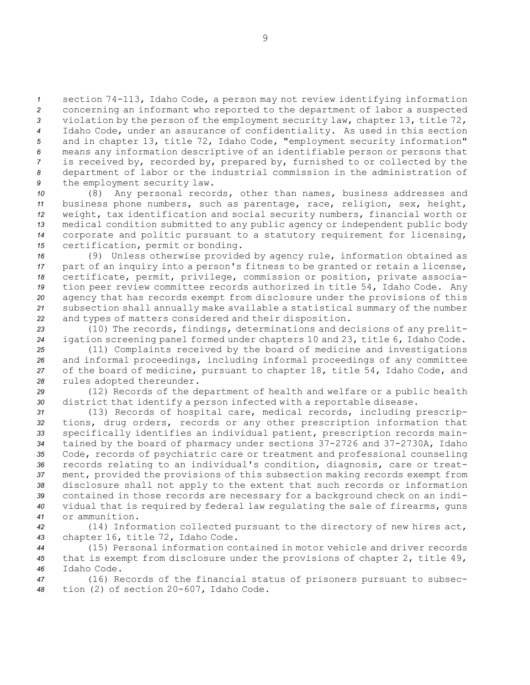section 74-113, Idaho Code, <sup>a</sup> person may not review identifying information concerning an informant who reported to the department of labor <sup>a</sup> suspected violation by the person of the employment security law, chapter 13, title 72, Idaho Code, under an assurance of confidentiality. As used in this section and in chapter 13, title 72, Idaho Code, "employment security information" means any information descriptive of an identifiable person or persons that is received by, recorded by, prepared by, furnished to or collected by the department of labor or the industrial commission in the administration of the employment security law.

 (8) Any personal records, other than names, business addresses and business phone numbers, such as parentage, race, religion, sex, height, weight, tax identification and social security numbers, financial worth or medical condition submitted to any public agency or independent public body corporate and politic pursuant to <sup>a</sup> statutory requirement for licensing, certification, permit or bonding.

 (9) Unless otherwise provided by agency rule, information obtained as part of an inquiry into <sup>a</sup> person's fitness to be granted or retain <sup>a</sup> license, certificate, permit, privilege, commission or position, private associa- tion peer review committee records authorized in title 54, Idaho Code. Any agency that has records exempt from disclosure under the provisions of this subsection shall annually make available <sup>a</sup> statistical summary of the number and types of matters considered and their disposition.

*<sup>23</sup>* (10) The records, findings, determinations and decisions of any prelit-*<sup>24</sup>* igation screening panel formed under chapters 10 and 23, title 6, Idaho Code.

 (11) Complaints received by the board of medicine and investigations and informal proceedings, including informal proceedings of any committee of the board of medicine, pursuant to chapter 18, title 54, Idaho Code, and rules adopted thereunder.

*<sup>29</sup>* (12) Records of the department of health and welfare or <sup>a</sup> public health *<sup>30</sup>* district that identify <sup>a</sup> person infected with <sup>a</sup> reportable disease.

 (13) Records of hospital care, medical records, including prescrip- tions, drug orders, records or any other prescription information that specifically identifies an individual patient, prescription records main- tained by the board of pharmacy under sections 37-2726 and 37-2730A, Idaho Code, records of psychiatric care or treatment and professional counseling records relating to an individual's condition, diagnosis, care or treat- ment, provided the provisions of this subsection making records exempt from disclosure shall not apply to the extent that such records or information contained in those records are necessary for <sup>a</sup> background check on an indi- vidual that is required by federal law regulating the sale of firearms, guns or ammunition.

*<sup>42</sup>* (14) Information collected pursuant to the directory of new hires act, *<sup>43</sup>* chapter 16, title 72, Idaho Code.

*<sup>44</sup>* (15) Personal information contained in motor vehicle and driver records *<sup>45</sup>* that is exempt from disclosure under the provisions of chapter 2, title 49, *46* Idaho Code.

*<sup>47</sup>* (16) Records of the financial status of prisoners pursuant to subsec-*<sup>48</sup>* tion (2) of section 20-607, Idaho Code.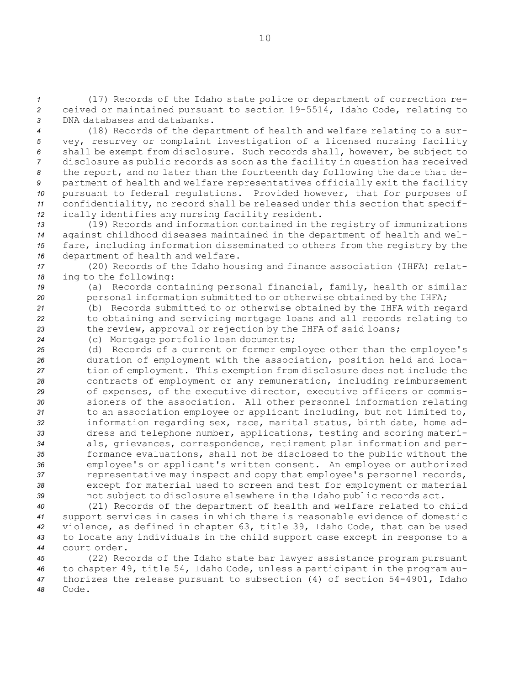*<sup>1</sup>* (17) Records of the Idaho state police or department of correction re-*<sup>2</sup>* ceived or maintained pursuant to section 19-5514, Idaho Code, relating to *3* DNA databases and databanks.

 (18) Records of the department of health and welfare relating to <sup>a</sup> sur- vey, resurvey or complaint investigation of <sup>a</sup> licensed nursing facility shall be exempt from disclosure. Such records shall, however, be subject to disclosure as public records as soon as the facility in question has received the report, and no later than the fourteenth day following the date that de- partment of health and welfare representatives officially exit the facility pursuant to federal regulations. Provided however, that for purposes of confidentiality, no record shall be released under this section that specif-ically identifies any nursing facility resident.

 (19) Records and information contained in the registry of immunizations against childhood diseases maintained in the department of health and wel- fare, including information disseminated to others from the registry by the department of health and welfare.

*<sup>17</sup>* (20) Records of the Idaho housing and finance association (IHFA) relat-*<sup>18</sup>* ing to the following:

*<sup>19</sup>* (a) Records containing personal financial, family, health or similar 20 **personal information submitted to or otherwise obtained by the IHFA;** 

*<sup>21</sup>* (b) Records submitted to or otherwise obtained by the IHFA with regard *<sup>22</sup>* to obtaining and servicing mortgage loans and all records relating to *<sup>23</sup>* the review, approval or rejection by the IHFA of said loans;

*<sup>24</sup>* (c) Mortgage portfolio loan documents;

 (d) Records of <sup>a</sup> current or former employee other than the employee's duration of employment with the association, position held and loca- tion of employment. This exemption from disclosure does not include the contracts of employment or any remuneration, including reimbursement of expenses, of the executive director, executive officers or commis- sioners of the association. All other personnel information relating to an association employee or applicant including, but not limited to, information regarding sex, race, marital status, birth date, home ad- dress and telephone number, applications, testing and scoring materi- als, grievances, correspondence, retirement plan information and per- formance evaluations, shall not be disclosed to the public without the employee's or applicant's written consent. An employee or authorized representative may inspect and copy that employee's personnel records, except for material used to screen and test for employment or material not subject to disclosure elsewhere in the Idaho public records act.

 (21) Records of the department of health and welfare related to child support services in cases in which there is reasonable evidence of domestic violence, as defined in chapter 63, title 39, Idaho Code, that can be used to locate any individuals in the child support case except in response to <sup>a</sup> court order.

 (22) Records of the Idaho state bar lawyer assistance program pursuant to chapter 49, title 54, Idaho Code, unless <sup>a</sup> participant in the program au- thorizes the release pursuant to subsection (4) of section 54-4901, Idaho *48* Code.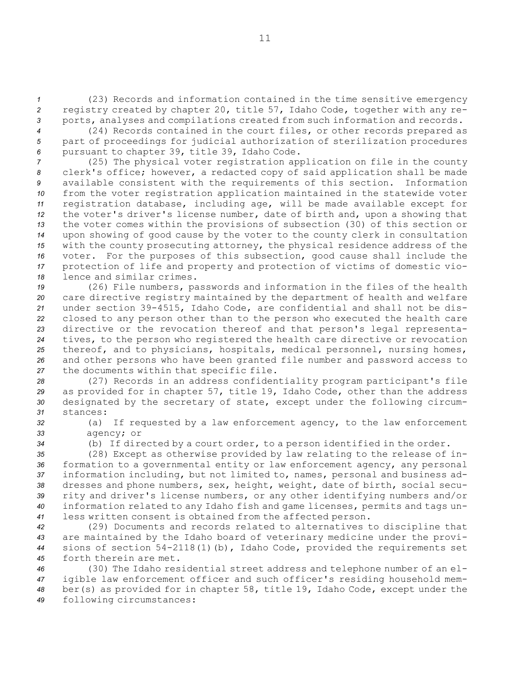*<sup>1</sup>* (23) Records and information contained in the time sensitive emergency *<sup>2</sup>* registry created by chapter 20, title 57, Idaho Code, together with any re-*<sup>3</sup>* ports, analyses and compilations created from such information and records.

*<sup>4</sup>* (24) Records contained in the court files, or other records prepared as *<sup>5</sup>* part of proceedings for judicial authorization of sterilization procedures *<sup>6</sup>* pursuant to chapter 39, title 39, Idaho Code.

 (25) The physical voter registration application on file in the county clerk's office; however, <sup>a</sup> redacted copy of said application shall be made available consistent with the requirements of this section. Information from the voter registration application maintained in the statewide voter registration database, including age, will be made available except for the voter's driver's license number, date of birth and, upon <sup>a</sup> showing that the voter comes within the provisions of subsection (30) of this section or upon showing of good cause by the voter to the county clerk in consultation with the county prosecuting attorney, the physical residence address of the voter. For the purposes of this subsection, good cause shall include the protection of life and property and protection of victims of domestic vio-lence and similar crimes.

 (26) File numbers, passwords and information in the files of the health care directive registry maintained by the department of health and welfare under section 39-4515, Idaho Code, are confidential and shall not be dis- closed to any person other than to the person who executed the health care directive or the revocation thereof and that person's legal representa- tives, to the person who registered the health care directive or revocation thereof, and to physicians, hospitals, medical personnel, nursing homes, and other persons who have been granted file number and password access to the documents within that specific file.

 (27) Records in an address confidentiality program participant's file as provided for in chapter 57, title 19, Idaho Code, other than the address designated by the secretary of state, except under the following circum-*31* stances:

*<sup>32</sup>* (a) If requested by <sup>a</sup> law enforcement agency, to the law enforcement *33* agency; or

*<sup>34</sup>* (b) If directed by <sup>a</sup> court order, to <sup>a</sup> person identified in the order.

 (28) Except as otherwise provided by law relating to the release of in- formation to <sup>a</sup> governmental entity or law enforcement agency, any personal information including, but not limited to, names, personal and business ad- dresses and phone numbers, sex, height, weight, date of birth, social secu- rity and driver's license numbers, or any other identifying numbers and/or information related to any Idaho fish and game licenses, permits and tags un-less written consent is obtained from the affected person.

 (29) Documents and records related to alternatives to discipline that are maintained by the Idaho board of veterinary medicine under the provi- sions of section 54-2118(1)(b), Idaho Code, provided the requirements set forth therein are met.

 (30) The Idaho residential street address and telephone number of an el- igible law enforcement officer and such officer's residing household mem- ber(s) as provided for in chapter 58, title 19, Idaho Code, except under the following circumstances: